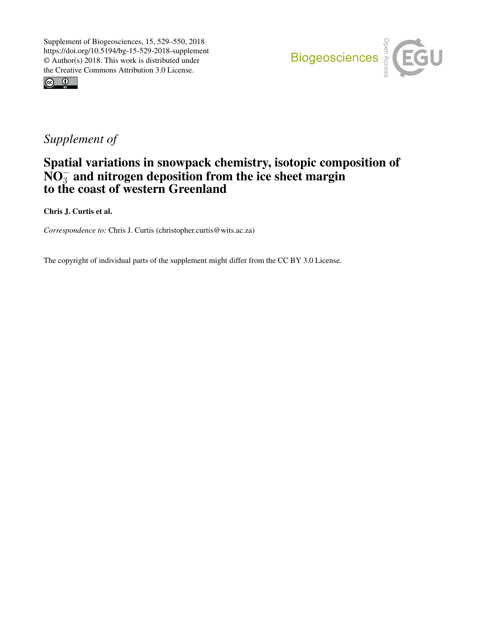



## *Supplement of*

## Spatial variations in snowpack chemistry, isotopic composition of  $\overline{NO_3^-}$  and nitrogen deposition from the ice sheet margin to the coast of western Greenland

Chris J. Curtis et al.

*Correspondence to:* Chris J. Curtis (christopher.curtis@wits.ac.za)

The copyright of individual parts of the supplement might differ from the CC BY 3.0 License.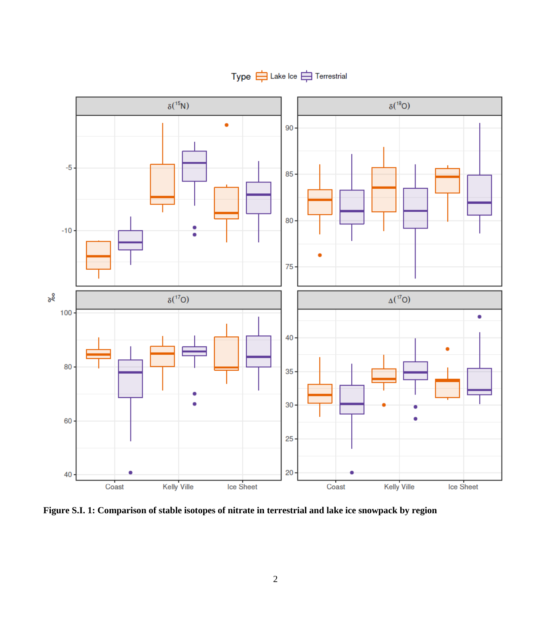

Type  $\Rightarrow$  Lake Ice  $\Rightarrow$  Terrestrial

**Figure S.I. 1: Comparison of stable isotopes of nitrate in terrestrial and lake ice snowpack by region**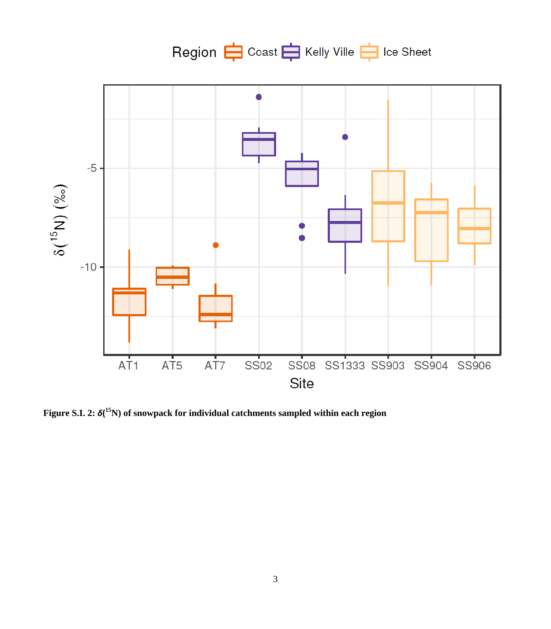

**Figure S.I. 2:** *δ***( <sup>15</sup>N) of snowpack for individual catchments sampled within each region**